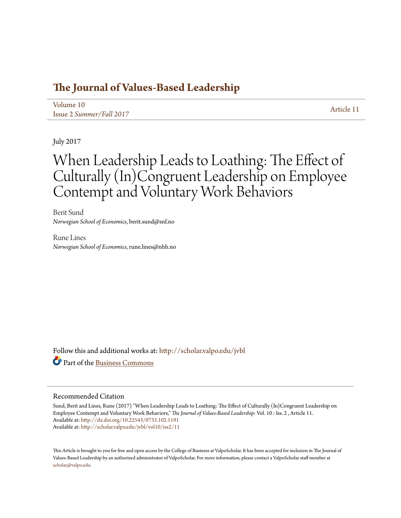## **[The Journal of Values-Based Leadership](http://scholar.valpo.edu/jvbl?utm_source=scholar.valpo.edu%2Fjvbl%2Fvol10%2Fiss2%2F11&utm_medium=PDF&utm_campaign=PDFCoverPages)**

[Volume 10](http://scholar.valpo.edu/jvbl/vol10?utm_source=scholar.valpo.edu%2Fjvbl%2Fvol10%2Fiss2%2F11&utm_medium=PDF&utm_campaign=PDFCoverPages) Issue 2 *[Summer/Fall 2017](http://scholar.valpo.edu/jvbl/vol10/iss2?utm_source=scholar.valpo.edu%2Fjvbl%2Fvol10%2Fiss2%2F11&utm_medium=PDF&utm_campaign=PDFCoverPages)* [Article 11](http://scholar.valpo.edu/jvbl/vol10/iss2/11?utm_source=scholar.valpo.edu%2Fjvbl%2Fvol10%2Fiss2%2F11&utm_medium=PDF&utm_campaign=PDFCoverPages)

July 2017

# When Leadership Leads to Loathing: The Effect of Culturally (In)Congruent Leadership on Employee Contempt and Voluntary Work Behaviors

Berit Sund *Norwegian School of Economics*, berit.sund@snf.no

Rune Lines *Norwegian School of Economics*, rune.lines@nhh.no

Follow this and additional works at: [http://scholar.valpo.edu/jvbl](http://scholar.valpo.edu/jvbl?utm_source=scholar.valpo.edu%2Fjvbl%2Fvol10%2Fiss2%2F11&utm_medium=PDF&utm_campaign=PDFCoverPages) Part of the [Business Commons](http://network.bepress.com/hgg/discipline/622?utm_source=scholar.valpo.edu%2Fjvbl%2Fvol10%2Fiss2%2F11&utm_medium=PDF&utm_campaign=PDFCoverPages)

#### Recommended Citation

Sund, Berit and Lines, Rune (2017) "When Leadership Leads to Loathing: The Effect of Culturally (In)Congruent Leadership on Employee Contempt and Voluntary Work Behaviors," *The Journal of Values-Based Leadership*: Vol. 10 : Iss. 2 , Article 11. Available at: <http://dx.doi.org/10.22543/0733.102.1191> Available at: [http://scholar.valpo.edu/jvbl/vol10/iss2/11](http://scholar.valpo.edu/jvbl/vol10/iss2/11?utm_source=scholar.valpo.edu%2Fjvbl%2Fvol10%2Fiss2%2F11&utm_medium=PDF&utm_campaign=PDFCoverPages)

This Article is brought to you for free and open access by the College of Business at ValpoScholar. It has been accepted for inclusion in The Journal of Values-Based Leadership by an authorized administrator of ValpoScholar. For more information, please contact a ValpoScholar staff member at [scholar@valpo.edu.](mailto:scholar@valpo.edu)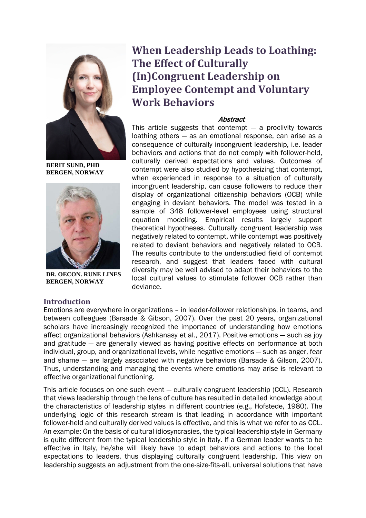

**BERIT SUND, PHD BERGEN, NORWAY**



**DR. OECON. RUNE LINES BERGEN, NORWAY**

#### **Introduction**

## **When Leadership Leads to Loathing: The Effect of Culturally (In)Congruent Leadership on Employee Contempt and Voluntary Work Behaviors**

### **Abstract**

This article suggests that contempt ― a proclivity towards loathing others ― as an emotional response, can arise as a consequence of culturally incongruent leadership, i.e. leader behaviors and actions that do not comply with follower-held, culturally derived expectations and values. Outcomes of contempt were also studied by hypothesizing that contempt, when experienced in response to a situation of culturally incongruent leadership, can cause followers to reduce their display of organizational citizenship behaviors (OCB) while engaging in deviant behaviors. The model was tested in a sample of 348 follower-level employees using structural equation modeling. Empirical results largely support theoretical hypotheses. Culturally congruent leadership was negatively related to contempt, while contempt was positively related to deviant behaviors and negatively related to OCB. The results contribute to the understudied field of contempt research, and suggest that leaders faced with cultural diversity may be well advised to adapt their behaviors to the local cultural values to stimulate follower OCB rather than deviance.

Emotions are everywhere in organizations – in leader-follower relationships, in teams, and between colleagues (Barsade & Gibson, 2007). Over the past 20 years, organizational scholars have increasingly recognized the importance of understanding how emotions affect organizational behaviors (Ashkanasy et al., 2017). Positive emotions ― such as joy and gratitude ― are generally viewed as having positive effects on performance at both individual, group, and organizational levels, while negative emotions ― such as anger, fear and shame ― are largely associated with negative behaviors (Barsade & Gilson, 2007). Thus, understanding and managing the events where emotions may arise is relevant to effective organizational functioning.

This article focuses on one such event ― culturally congruent leadership (CCL). Research that views leadership through the lens of culture has resulted in detailed knowledge about the characteristics of leadership styles in different countries (e.g., Hofstede, 1980). The underlying logic of this research stream is that leading in accordance with important follower-held and culturally derived values is effective, and this is what we refer to as CCL. An example: On the basis of cultural idiosyncrasies, the typical leadership style in Germany is quite different from the typical leadership style in Italy. If a German leader wants to be effective in Italy, he/she will likely have to adapt behaviors and actions to the local expectations to leaders, thus displaying culturally congruent leadership. This view on leadership suggests an adjustment from the one-size-fits-all, universal solutions that have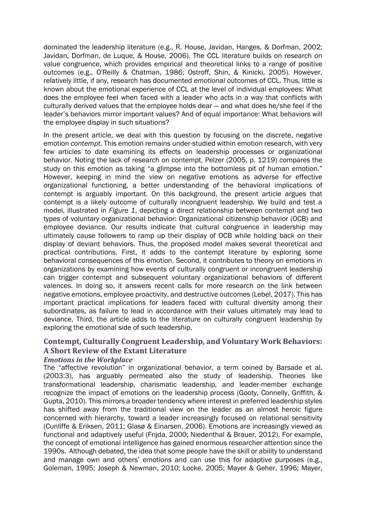dominated the leadership literature (e.g., R. House, Javidan, Hanges, & Dorfman, 2002; Javidan, Dorfman, de Luque, & House, 2006). The CCL literature builds on research on value congruence, which provides empirical and theoretical links to a range of positive outcomes (e.g., O'Reilly & Chatman, 1986; Ostroff, Shin, & Kinicki, 2005). However, relatively little, if any, research has documented *emotional* outcomes of CCL. Thus, little is known about the emotional experience of CCL at the level of individual employees: What does the employee feel when faced with a leader who acts in a way that conflicts with culturally derived values that the employee holds dear ― and what does he/she feel if the leader's behaviors mirror important values? And of equal importance: What behaviors will the employee display in such situations?

In the present article, we deal with this question by focusing on the discrete, negative emotion *contempt*. This emotion remains under-studied within emotion research, with very few articles to date examining its effects on leadership processes or organizational behavior. Noting the lack of research on contempt, Pelzer (2005, p. 1219) compares the study on this emotion as taking "a glimpse into the bottomless pit of human emotion." However, keeping in mind the view on negative emotions as adverse for effective organizational functioning, a better understanding of the behavioral implications of contempt is arguably important. On this background, the present article argues that contempt is a likely outcome of culturally incongruent leadership. We build and test a model, illustrated in *Figure 1*, depicting a direct relationship between contempt and two types of voluntary organizational behavior: Organizational citizenship behavior (OCB) and employee deviance. Our results indicate that cultural congruence in leadership may ultimately cause followers to ramp up their display of OCB while holding back on their display of deviant behaviors. Thus, the proposed model makes several theoretical and practical contributions. First, it adds to the contempt literature by exploring some behavioral consequences of this emotion. Second, it contributes to theory on emotions in organizations by examining how events of culturally congruent or incongruent leadership can trigger contempt and subsequent voluntary organizational behaviors of different valences. In doing so, it answers recent calls for more research on the link between negative emotions, employee proactivity, and destructive outcomes (Lebel, 2017). This has important practical implications for leaders faced with cultural diversity among their subordinates, as failure to lead in accordance with their values ultimately may lead to deviance. Third, the article adds to the literature on culturally congruent leadership by exploring the emotional side of such leadership.

## **Contempt, Culturally Congruent Leadership, and Voluntary Work Behaviors: A Short Review of the Extant Literature**

#### *Emotions in the Workplace*

The "affective revolution" in organizational behavior, a term coined by Barsade et al. (2003:3), has arguably permeated also the study of leadership. Theories like transformational leadership, charismatic leadership, and leader-member exchange recognize the impact of emotions on the leadership process (Gooty, Connelly, Griffith, & Gupta, 2010). This mirrors a broader tendency where interest in preferred leadership styles has shifted away from the traditional view on the leader as an almost heroic figure concerned with hierarchy, toward a leader increasingly focused on relational sensitivity (Cunliffe & Eriksen, 2011; Glasø & Einarsen, 2006). Emotions are increasingly viewed as functional and adaptively useful (Frijda, 2000; Niedenthal & Brauer, 2012). For example, the concept of emotional intelligence has gained enormous researcher attention since the 1990s. Although debated, the idea that some people have the skill or ability to understand and manage own and others' emotions and can use this for adaptive purposes (e.g., Goleman, 1995; Joseph & Newman, 2010; Locke, 2005; Mayer & Geher, 1996; Mayer,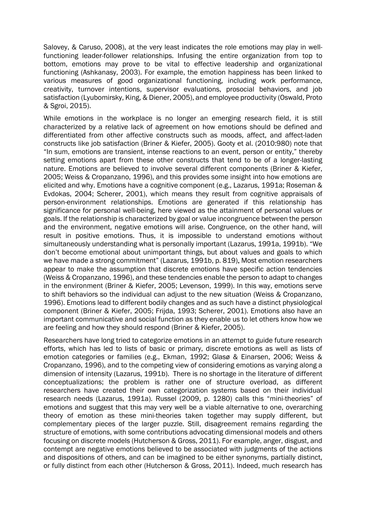Salovey, & Caruso, 2008), at the very least indicates the role emotions may play in wellfunctioning leader-follower relationships. Infusing the entire organization from top to bottom, emotions may prove to be vital to effective leadership and organizational functioning (Ashkanasy, 2003). For example, the emotion happiness has been linked to various measures of good organizational functioning, including work performance, creativity, turnover intentions, supervisor evaluations, prosocial behaviors, and job satisfaction (Lyubomirsky, King, & Diener, 2005), and employee productivity (Oswald, Proto & Sgroi, 2015).

While emotions in the workplace is no longer an emerging research field, it is still characterized by a relative lack of agreement on how emotions should be defined and differentiated from other affective constructs such as moods, affect, and affect-laden constructs like job satisfaction (Briner & Kiefer, 2005). Gooty et al. (2010:980) note that "In sum, emotions are transient, intense reactions to an event, person or entity," thereby setting emotions apart from these other constructs that tend to be of a longer-lasting nature. Emotions are believed to involve several different components (Briner & Kiefer, 2005; Weiss & Cropanzano, 1996), and this provides some insight into how emotions are elicited and why. Emotions have a cognitive component (e.g., Lazarus, 1991a; Roseman & Evdokas, 2004; Scherer, 2001), which means they result from cognitive appraisals of person-environment relationships. Emotions are generated if this relationship has significance for personal well-being, here viewed as the attainment of personal values or goals. If the relationship is characterized by goal or value incongruence between the person and the environment, negative emotions will arise. Congruence, on the other hand, will result in positive emotions. Thus, it is impossible to understand emotions without simultaneously understanding what is personally important (Lazarus, 1991a, 1991b). "We don't become emotional about unimportant things, but about values and goals to which we have made a strong commitment" (Lazarus, 1991b, p. 819). Most emotion researchers appear to make the assumption that discrete emotions have specific action tendencies (Weiss & Cropanzano, 1996), and these tendencies enable the person to adapt to changes in the environment (Briner & Kiefer, 2005; Levenson, 1999). In this way, emotions serve to shift behaviors so the individual can adjust to the new situation (Weiss & Cropanzano, 1996). Emotions lead to different bodily changes and as such have a distinct physiological component (Briner & Kiefer, 2005; Frijda, 1993; Scherer, 2001). Emotions also have an important communicative and social function as they enable us to let others know how we are feeling and how they should respond (Briner & Kiefer, 2005).

Researchers have long tried to categorize emotions in an attempt to guide future research efforts, which has led to lists of basic or primary, discrete emotions as well as lists of emotion categories or families (e.g., Ekman, 1992; Glasø & Einarsen, 2006; Weiss & Cropanzano, 1996), and to the competing view of considering emotions as varying along a dimension of intensity (Lazarus, 1991b). There is no shortage in the literature of different conceptualizations; the problem is rather one of structure overload, as different researchers have created their own categorization systems based on their individual research needs (Lazarus, 1991a). Russel (2009, p. 1280) calls this "mini-theories" of emotions and suggest that this may very well be a viable alternative to one, overarching theory of emotion as these mini-theories taken together may supply different, but complementary pieces of the larger puzzle. Still, disagreement remains regarding the structure of emotions, with some contributions advocating dimensional models and others focusing on discrete models (Hutcherson & Gross, 2011). For example, anger, disgust, and contempt are negative emotions believed to be associated with judgments of the actions and dispositions of others, and can be imagined to be either synonyms, partially distinct, or fully distinct from each other (Hutcherson & Gross, 2011). Indeed, much research has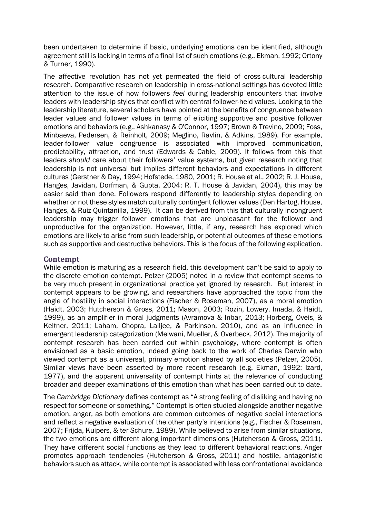been undertaken to determine if basic, underlying emotions can be identified, although agreement still is lacking in terms of a final list of such emotions (e.g., Ekman, 1992; Ortony & Turner, 1990).

The affective revolution has not yet permeated the field of cross-cultural leadership research. Comparative research on leadership in cross-national settings has devoted little attention to the issue of how followers *feel* during leadership encounters that involve leaders with leadership styles that conflict with central follower-held values. Looking to the leadership literature, several scholars have pointed at the benefits of congruence between leader values and follower values in terms of eliciting supportive and positive follower emotions and behaviors (e.g., Ashkanasy & O'Connor, 1997; Brown & Trevino, 2009; Foss, Minbaeva, Pedersen, & Reinholt, 2009; Meglino, Ravlin, & Adkins, 1989). For example, leader-follower value congruence is associated with improved communication, predictability, attraction, and trust (Edwards & Cable, 2009). It follows from this that leaders *should* care about their followers' value systems, but given research noting that leadership is not universal but implies different behaviors and expectations in different cultures (Gerstner & Day, 1994; Hofstede, 1980, 2001; R. House et al., 2002; R. J. House, Hanges, Javidan, Dorfman, & Gupta, 2004; R. T. House & Javidan, 2004), this may be easier said than done. Followers respond differently to leadership styles depending on whether or not these styles match culturally contingent follower values (Den Hartog, House, Hanges, & Ruiz-Quintanilla, 1999). It can be derived from this that culturally incongruent leadership may trigger follower emotions that are unpleasant for the follower and unproductive for the organization. However, little, if any, research has explored which emotions are likely to arise from such leadership, or potential outcomes of these emotions such as supportive and destructive behaviors. This is the focus of the following explication.

## **Contempt**

While emotion is maturing as a research field, this development can't be said to apply to the discrete emotion contempt. Pelzer (2005) noted in a review that contempt seems to be very much present in organizational practice yet ignored by research. But interest in contempt appears to be growing, and researchers have approached the topic from the angle of hostility in social interactions (Fischer & Roseman, 2007), as a moral emotion (Haidt, 2003; Hutcherson & Gross, 2011; Mason, 2003; Rozin, Lowery, Imada, & Haidt, 1999), as an amplifier in moral judgments (Avramova & Inbar, 2013; Horberg, Oveis, & Keltner, 2011; Laham, Chopra, Lalljee, & Parkinson, 2010), and as an influence in emergent leadership categorization (Melwani, Mueller, & Overbeck, 2012). The majority of contempt research has been carried out within psychology, where contempt is often envisioned as a basic emotion, indeed going back to the work of Charles Darwin who viewed contempt as a universal, primary emotion shared by all societies (Pelzer, 2005). Similar views have been asserted by more recent research (e.g. Ekman, 1992; Izard, 1977), and the apparent universality of contempt hints at the relevance of conducting broader and deeper examinations of this emotion than what has been carried out to date.

The *Cambridge Dictionary* defines contempt as "A strong feeling of disliking and having no respect for someone or something." Contempt is often studied alongside another negative emotion, anger, as both emotions are common outcomes of negative social interactions and reflect a negative evaluation of the other party's intentions (e.g., Fischer & Roseman, 2007; Frijda, Kuipers, & ter Schure, 1989). While believed to arise from similar situations, the two emotions are different along important dimensions (Hutcherson & Gross, 2011). They have different social functions as they lead to different behavioral reactions. Anger promotes approach tendencies (Hutcherson & Gross, 2011) and hostile, antagonistic behaviors such as attack, while contempt is associated with less confrontational avoidance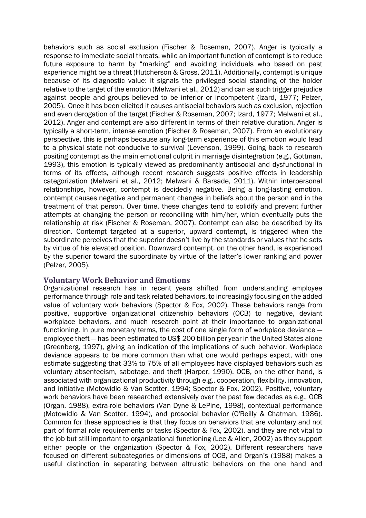behaviors such as social exclusion (Fischer & Roseman, 2007). Anger is typically a response to immediate social threats, while an important function of contempt is to reduce future exposure to harm by "marking" and avoiding individuals who based on past experience might be a threat (Hutcherson & Gross, 2011). Additionally, contempt is unique because of its diagnostic value: it signals the privileged social standing of the holder relative to the target of the emotion (Melwani et al., 2012) and can as such trigger prejudice against people and groups believed to be inferior or incompetent (Izard, 1977; Pelzer, 2005). Once it has been elicited it causes antisocial behaviors such as exclusion, rejection and even derogation of the target (Fischer & Roseman, 2007; Izard, 1977; Melwani et al., 2012). Anger and contempt are also different in terms of their relative duration. Anger is typically a short-term, intense emotion (Fischer & Roseman, 2007). From an evolutionary perspective, this is perhaps because any long-term experience of this emotion would lead to a physical state not conducive to survival (Levenson, 1999). Going back to research positing contempt as the main emotional culprit in marriage disintegration (e.g., Gottman, 1993), this emotion is typically viewed as predominantly antisocial and dysfunctional in terms of its effects, although recent research suggests positive effects in leadership categorization (Melwani et al., 2012; Melwani & Barsade, 2011). Within interpersonal relationships, however, contempt is decidedly negative. Being a long-lasting emotion, contempt causes negative and permanent changes in beliefs about the person and in the treatment of that person. Over time, these changes tend to solidify and prevent further attempts at changing the person or reconciling with him/her, which eventually puts the relationship at risk (Fischer & Roseman, 2007). Contempt can also be described by its direction. Contempt targeted at a superior, upward contempt, is triggered when the subordinate perceives that the superior doesn't live by the standards or values that he sets by virtue of his elevated position. Downward contempt, on the other hand, is experienced by the superior toward the subordinate by virtue of the latter's lower ranking and power (Pelzer, 2005).

#### **Voluntary Work Behavior and Emotions**

Organizational research has in recent years shifted from understanding employee performance through role and task related behaviors, to increasingly focusing on the added value of voluntary work behaviors (Spector & Fox, 2002). These behaviors range from positive, supportive organizational citizenship behaviors (OCB) to negative, deviant workplace behaviors, and much research point at their importance to organizational functioning. In pure monetary terms, the cost of one single form of workplace deviance ― employee theft ― has been estimated to US\$ 200 billion per year in the United States alone (Greenberg, 1997), giving an indication of the implications of such behavior. Workplace deviance appears to be more common than what one would perhaps expect, with one estimate suggesting that 33% to 75% of all employees have displayed behaviors such as voluntary absenteeism, sabotage, and theft (Harper, 1990). OCB, on the other hand, is associated with organizational productivity through e.g., cooperation, flexibility, innovation, and initiative (Motowidlo & Van Scotter, 1994; Spector & Fox, 2002). Positive, voluntary work behaviors have been researched extensively over the past few decades as e.g., OCB (Organ, 1988), extra-role behaviors (Van Dyne & LePine, 1998), contextual performance (Motowidlo & Van Scotter, 1994), and prosocial behavior (O'Reilly & Chatman, 1986). Common for these approaches is that they focus on behaviors that are voluntary and not part of formal role requirements or tasks (Spector & Fox, 2002), and they are not vital to the job but still important to organizational functioning (Lee & Allen, 2002) as they support either people or the organization (Spector & Fox, 2002). Different researchers have focused on different subcategories or dimensions of OCB, and Organ's (1988) makes a useful distinction in separating between altruistic behaviors on the one hand and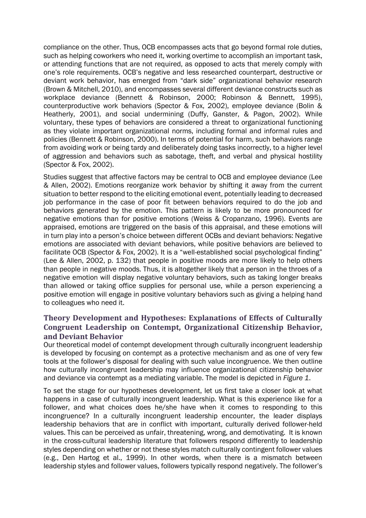compliance on the other. Thus, OCB encompasses acts that go beyond formal role duties, such as helping coworkers who need it, working overtime to accomplish an important task, or attending functions that are not required, as opposed to acts that merely comply with one's role requirements. OCB's negative and less researched counterpart, destructive or deviant work behavior, has emerged from "dark side" organizational behavior research (Brown & Mitchell, 2010), and encompasses several different deviance constructs such as workplace deviance (Bennett & Robinson, 2000; Robinson & Bennett, 1995), counterproductive work behaviors (Spector & Fox, 2002), employee deviance (Bolin & Heatherly, 2001), and social undermining (Duffy, Ganster, & Pagon, 2002). While voluntary, these types of behaviors are considered a threat to organizational functioning as they violate important organizational norms, including formal and informal rules and policies (Bennett & Robinson, 2000). In terms of potential for harm, such behaviors range from avoiding work or being tardy and deliberately doing tasks incorrectly, to a higher level of aggression and behaviors such as sabotage, theft, and verbal and physical hostility (Spector & Fox, 2002).

Studies suggest that affective factors may be central to OCB and employee deviance (Lee & Allen, 2002). Emotions reorganize work behavior by shifting it away from the current situation to better respond to the eliciting emotional event, potentially leading to decreased job performance in the case of poor fit between behaviors required to do the job and behaviors generated by the emotion. This pattern is likely to be more pronounced for negative emotions than for positive emotions (Weiss & Cropanzano, 1996). Events are appraised, emotions are triggered on the basis of this appraisal, and these emotions will in turn play into a person's choice between different OCBs and deviant behaviors: Negative emotions are associated with deviant behaviors, while positive behaviors are believed to facilitate OCB (Spector & Fox, 2002). It is a "well-established social psychological finding" (Lee & Allen, 2002, p. 132) that people in positive moods are more likely to help others than people in negative moods. Thus, it is altogether likely that a person in the throes of a negative emotion will display negative voluntary behaviors, such as taking longer breaks than allowed or taking office supplies for personal use, while a person experiencing a positive emotion will engage in positive voluntary behaviors such as giving a helping hand to colleagues who need it.

## **Theory Development and Hypotheses: Explanations of Effects of Culturally Congruent Leadership on Contempt, Organizational Citizenship Behavior, and Deviant Behavior**

Our theoretical model of contempt development through culturally incongruent leadership is developed by focusing on contempt as a protective mechanism and as one of very few tools at the follower's disposal for dealing with such value incongruence. We then outline how culturally incongruent leadership may influence organizational citizenship behavior and deviance via contempt as a mediating variable. The model is depicted in *Figure 1*.

To set the stage for our hypotheses development, let us first take a closer look at what happens in a case of culturally incongruent leadership. What is this experience like for a follower, and what choices does he/she have when it comes to responding to this incongruence? In a culturally incongruent leadership encounter, the leader displays leadership behaviors that are in conflict with important, culturally derived follower-held values. This can be perceived as unfair, threatening, wrong, and demotivating. It is known in the cross-cultural leadership literature that followers respond differently to leadership styles depending on whether or not these styles match culturally contingent follower values (e.g., Den Hartog et al., 1999). In other words, when there is a mismatch between leadership styles and follower values, followers typically respond negatively. The follower's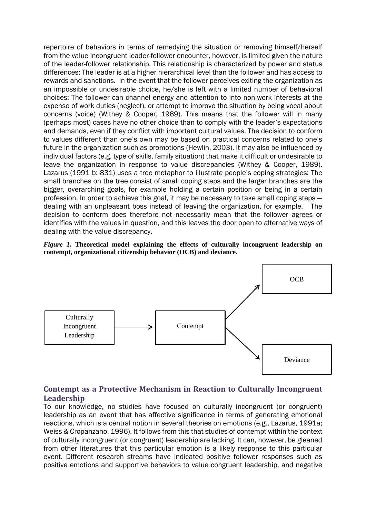repertoire of behaviors in terms of remedying the situation or removing himself/herself from the value incongruent leader-follower encounter, however, is limited given the nature of the leader-follower relationship. This relationship is characterized by power and status differences: The leader is at a higher hierarchical level than the follower and has access to rewards and sanctions. In the event that the follower perceives exiting the organization as an impossible or undesirable choice, he/she is left with a limited number of behavioral choices: The follower can channel energy and attention to into non-work interests at the expense of work duties (neglect), or attempt to improve the situation by being vocal about concerns (voice) (Withey & Cooper, 1989). This means that the follower will in many (perhaps most) cases have no other choice than to comply with the leader's expectations and demands, even if they conflict with important cultural values. The decision to conform to values different than one's own may be based on practical concerns related to one's future in the organization such as promotions (Hewlin, 2003). It may also be influenced by individual factors (e.g. type of skills, family situation) that make it difficult or undesirable to leave the organization in response to value discrepancies (Withey & Cooper, 1989). Lazarus (1991 b: 831) uses a tree metaphor to illustrate people's coping strategies: The small branches on the tree consist of small coping steps and the larger branches are the bigger, overarching goals, for example holding a certain position or being in a certain profession. In order to achieve this goal, it may be necessary to take small coping steps ― dealing with an unpleasant boss instead of leaving the organization, for example. The decision to conform does therefore not necessarily mean that the follower agrees or identifies with the values in question, and this leaves the door open to alternative ways of dealing with the value discrepancy.





## **Contempt as a Protective Mechanism in Reaction to Culturally Incongruent Leadership**

To our knowledge, no studies have focused on culturally incongruent (or congruent) leadership as an event that has affective significance in terms of generating emotional reactions, which is a central notion in several theories on emotions (e.g., Lazarus, 1991a; Weiss & Cropanzano, 1996). It follows from this that studies of contempt within the context of culturally incongruent (or congruent) leadership are lacking. It can, however, be gleaned from other literatures that this particular emotion is a likely response to this particular event. Different research streams have indicated positive follower responses such as positive emotions and supportive behaviors to value congruent leadership, and negative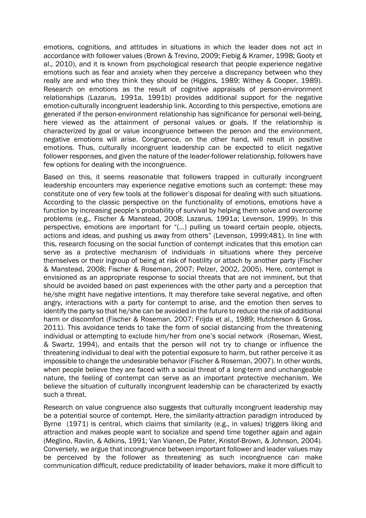emotions, cognitions, and attitudes in situations in which the leader does not act in accordance with follower values (Brown & Trevino, 2009; Fiebig & Kramer, 1998; Gooty et al., 2010), and it is known from psychological research that people experience negative emotions such as fear and anxiety when they perceive a discrepancy between who they really are and who they think they should be (Higgins, 1989; Withey & Cooper, 1989). Research on emotions as the result of cognitive appraisals of person-environment relationships (Lazarus, 1991a, 1991b) provides additional support for the negative emotion-culturally incongruent leadership link. According to this perspective, emotions are generated if the person-environment relationship has significance for personal well-being, here viewed as the attainment of personal values or goals. If the relationship is characterized by goal or value incongruence between the person and the environment, negative emotions will arise. Congruence, on the other hand, will result in positive emotions. Thus, culturally incongruent leadership can be expected to elicit negative follower responses, and given the nature of the leader-follower relationship, followers have few options for dealing with the incongruence.

Based on this, it seems reasonable that followers trapped in culturally incongruent leadership encounters may experience negative emotions such as contempt: these may constitute one of very few tools at the follower's disposal for dealing with such situations. According to the classic perspective on the functionality of emotions, emotions have a function by increasing people's probability of survival by helping them solve and overcome problems (e.g., Fischer & Manstead, 2008; Lazarus, 1991a; Levenson, 1999). In this perspective, emotions are important for "(…) pulling us toward certain people, objects, actions and ideas, and pushing us away from others" (Levenson, 1999:481). In line with this, research focusing on the social function of contempt indicates that this emotion can serve as a protective mechanism of individuals in situations where they perceive themselves or their ingroup of being at risk of hostility or attach by another party (Fischer & Manstead, 2008; Fischer & Roseman, 2007; Pelzer, 2002, 2005). Here, contempt is envisioned as an appropriate response to social threats that are not imminent, but that should be avoided based on past experiences with the other party and a perception that he/she might have negative intentions. It may therefore take several negative, and often angry, interactions with a party for contempt to arise, and the emotion then serves to identify the party so that he/she can be avoided in the future to reduce the risk of additional harm or discomfort (Fischer & Roseman, 2007; Frijda et al., 1989; Hutcherson & Gross, 2011). This avoidance tends to take the form of social distancing from the threatening individual or attempting to exclude him/her from one's social network (Roseman, Wiest, & Swartz, 1994), and entails that the person will not try to change or influence the threatening individual to deal with the potential exposure to harm, but rather perceive it as impossible to change the undesirable behavior (Fischer & Roseman, 2007). In other words, when people believe they are faced with a social threat of a long-term and unchangeable nature, the feeling of contempt can serve as an important protective mechanism. We believe the situation of culturally incongruent leadership can be characterized by exactly such a threat.

Research on value congruence also suggests that culturally incongruent leadership may be a potential source of contempt. Here, the similarity-attraction paradigm introduced by Byrne (1971) is central, which claims that similarity (e.g., in values) triggers liking and attraction and makes people want to socialize and spend time together again and again (Meglino, Ravlin, & Adkins, 1991; Van Vianen, De Pater, Kristof-Brown, & Johnson, 2004). Conversely, we argue that incongruence between important follower and leader values may be perceived by the follower as threatening as such incongruence can make communication difficult, reduce predictability of leader behaviors, make it more difficult to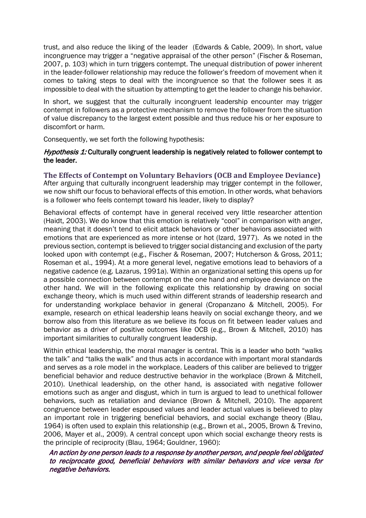trust, and also reduce the liking of the leader (Edwards & Cable, 2009). In short, value incongruence may trigger a "negative appraisal of the other person" (Fischer & Roseman, 2007, p. 103) which in turn triggers contempt. The unequal distribution of power inherent in the leader-follower relationship may reduce the follower's freedom of movement when it comes to taking steps to deal with the incongruence so that the follower sees it as impossible to deal with the situation by attempting to get the leader to change his behavior.

In short, we suggest that the culturally incongruent leadership encounter may trigger contempt in followers as a protective mechanism to remove the follower from the situation of value discrepancy to the largest extent possible and thus reduce his or her exposure to discomfort or harm.

Consequently, we set forth the following hypothesis:

## Hypothesis 1: Culturally congruent leadership is negatively related to follower contempt to the leader.

#### **The Effects of Contempt on Voluntary Behaviors (OCB and Employee Deviance)**  After arguing that culturally incongruent leadership may trigger contempt in the follower,

we now shift our focus to behavioral effects of this emotion. In other words, what behaviors is a follower who feels contempt toward his leader, likely to display?

Behavioral effects of contempt have in general received very little researcher attention (Haidt, 2003). We do know that this emotion is relatively "cool" in comparison with anger, meaning that it doesn't tend to elicit attack behaviors or other behaviors associated with emotions that are experienced as more intense or hot (Izard, 1977). As we noted in the previous section, contempt is believed to trigger social distancing and exclusion of the party looked upon with contempt (e.g., Fischer & Roseman, 2007; Hutcherson & Gross, 2011; Roseman et al., 1994). At a more general level, negative emotions lead to behaviors of a negative cadence (e.g. Lazarus, 1991a). Within an organizational setting this opens up for a possible connection between contempt on the one hand and employee deviance on the other hand. We will in the following explicate this relationship by drawing on social exchange theory, which is much used within different strands of leadership research and for understanding workplace behavior in general (Cropanzano & Mitchell, 2005). For example, research on ethical leadership leans heavily on social exchange theory, and we borrow also from this literature as we believe its focus on fit between leader values and behavior as a driver of positive outcomes like OCB (e.g., Brown & Mitchell, 2010) has important similarities to culturally congruent leadership.

Within ethical leadership, the moral manager is central. This is a leader who both "walks the talk" and "talks the walk" and thus acts in accordance with important moral standards and serves as a role model in the workplace. Leaders of this caliber are believed to trigger beneficial behavior and reduce destructive behavior in the workplace (Brown & Mitchell, 2010). Unethical leadership, on the other hand, is associated with negative follower emotions such as anger and disgust, which in turn is argued to lead to unethical follower behaviors, such as retaliation and deviance (Brown & Mitchell, 2010). The apparent congruence between leader espoused values and leader actual values is believed to play an important role in triggering beneficial behaviors, and social exchange theory (Blau, 1964) is often used to explain this relationship (e.g., Brown et al., 2005, Brown & Trevino, 2006, Mayer et al., 2009). A central concept upon which social exchange theory rests is the principle of reciprocity (Blau, 1964; Gouldner, 1960):

## An action by one person leads to a response by another person, and people feel obligated to reciprocate good, beneficial behaviors with similar behaviors and vice versa for negative behaviors.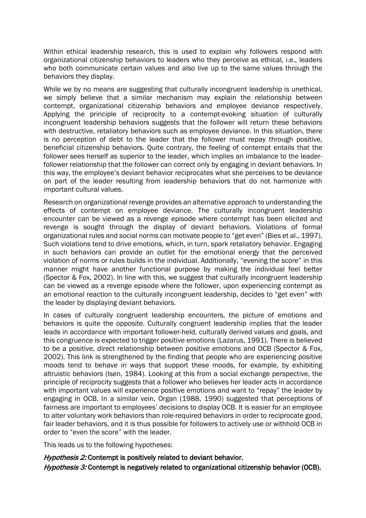Within ethical leadership research, this is used to explain why followers respond with organizational citizenship behaviors to leaders who they perceive as ethical, i.e., leaders who both communicate certain values and also live up to the same values through the behaviors they display.

While we by no means are suggesting that culturally incongruent leadership is unethical, we simply believe that a similar mechanism may explain the relationship between contempt, organizational citizenship behaviors and employee deviance respectively. Applying the principle of reciprocity to a contempt-evoking situation of culturally incongruent leadership behaviors suggests that the follower will return these behaviors with destructive, retaliatory behaviors such as employee deviance. In this situation, there is no perception of debt to the leader that the follower must repay through positive, beneficial citizenship behaviors. Quite contrary, the feeling of contempt entails that the follower sees herself as superior to the leader, which implies an imbalance to the leaderfollower relationship that the follower can correct only by engaging in deviant behaviors. In this way, the employee's deviant behavior reciprocates what she perceives to be deviance on part of the leader resulting from leadership behaviors that do not harmonize with important cultural values.

Research on organizational revenge provides an alternative approach to understanding the effects of contempt on employee deviance. The culturally incongruent leadership encounter can be viewed as a revenge episode where contempt has been elicited and revenge is sought through the display of deviant behaviors. Violations of formal organizational rules and social norms can motivate people to "get even" (Bies et al., 1997). Such violations tend to drive emotions, which, in turn, spark retaliatory behavior. Engaging in such behaviors can provide an outlet for the emotional energy that the perceived violation of norms or rules builds in the individual. Additionally, "evening the score" in this manner might have another functional purpose by making the individual feel better (Spector & Fox, 2002). In line with this, we suggest that culturally incongruent leadership can be viewed as a revenge episode where the follower, upon experiencing contempt as an emotional reaction to the culturally incongruent leadership, decides to "get even" with the leader by displaying deviant behaviors.

In cases of culturally congruent leadership encounters, the picture of emotions and behaviors is quite the opposite. Culturally congruent leadership implies that the leader leads in accordance with important follower-held, culturally derived values and goals, and this congruence is expected to trigger positive emotions (Lazarus, 1991). There is believed to be a positive, direct relationship between positive emotions and OCB (Spector & Fox, 2002). This link is strengthened by the finding that people who are experiencing positive moods tend to behave in ways that support these moods, for example, by exhibiting altruistic behaviors (Isen, 1984). Looking at this from a social exchange perspective, the principle of reciprocity suggests that a follower who believes her leader acts in accordance with important values will experience positive emotions and want to "repay" the leader by engaging in OCB. In a similar vein, Organ (1988, 1990) suggested that perceptions of fairness are important to employees' decisions to display OCB. It is easier for an employee to alter voluntary work behaviors than role-required behaviors in order to reciprocate good, fair leader behaviors, and it is thus possible for followers to actively use or withhold OCB in order to "even the score" with the leader.

This leads us to the following hypotheses:

Hypothesis 2: Contempt is positively related to deviant behavior. Hypothesis 3: Contempt is negatively related to organizational citizenship behavior (OCB).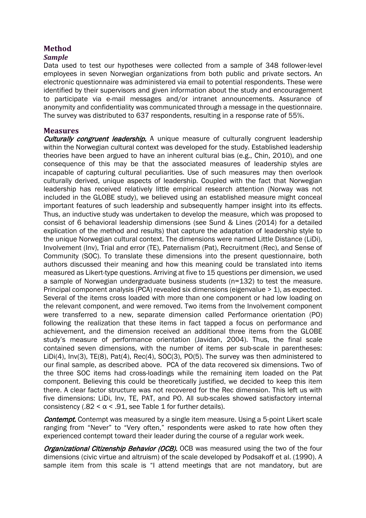## **Method**

## *Sample*

Data used to test our hypotheses were collected from a sample of 348 follower-level employees in seven Norwegian organizations from both public and private sectors. An electronic questionnaire was administered via email to potential respondents. These were identified by their supervisors and given information about the study and encouragement to participate via e-mail messages and/or intranet announcements. Assurance of anonymity and confidentiality was communicated through a message in the questionnaire. The survey was distributed to 637 respondents, resulting in a response rate of 55%.

## **Measures**

**Culturally congruent leadership.** A unique measure of culturally congruent leadership within the Norwegian cultural context was developed for the study. Established leadership theories have been argued to have an inherent cultural bias (e.g., Chin, 2010), and one consequence of this may be that the associated measures of leadership styles are incapable of capturing cultural peculiarities. Use of such measures may then overlook culturally derived, unique aspects of leadership. Coupled with the fact that Norwegian leadership has received relatively little empirical research attention (Norway was not included in the GLOBE study), we believed using an established measure might conceal important features of such leadership and subsequently hamper insight into its effects. Thus, an inductive study was undertaken to develop the measure, which was proposed to consist of 6 behavioral leadership dimensions (see Sund & Lines (2014) for a detailed explication of the method and results) that capture the adaptation of leadership style to the unique Norwegian cultural context. The dimensions were named Little Distance (LiDi), Involvement (Inv), Trial and error (TE), Paternalism (Pat), Recruitment (Rec), and Sense of Community (SOC). To translate these dimensions into the present questionnaire, both authors discussed their meaning and how this meaning could be translated into items measured as Likert-type questions. Arriving at five to 15 questions per dimension, we used a sample of Norwegian undergraduate business students (n=132) to test the measure. Principal component analysis (PCA) revealed six dimensions (eigenvalue > 1), as expected. Several of the items cross loaded with more than one component or had low loading on the relevant component, and were removed. Two items from the Involvement component were transferred to a new, separate dimension called Performance orientation (PO) following the realization that these items in fact tapped a focus on performance and achievement, and the dimension received an additional three items from the GLOBE study's measure of performance orientation (Javidan, 2004). Thus, the final scale contained seven dimensions, with the number of items per sub-scale in parentheses: LiDi(4), Inv(3), TE(8), Pat(4), Rec(4), SOC(3), PO(5). The survey was then administered to our final sample, as described above. PCA of the data recovered six dimensions. Two of the three SOC items had cross-loadings while the remaining item loaded on the Pat component. Believing this could be theoretically justified, we decided to keep this item there. A clear factor structure was not recovered for the Rec dimension. This left us with five dimensions: LiDi, Inv, TE, PAT, and PO. All sub-scales showed satisfactory internal consistency (.82 <  $\alpha$  < .91, see Table 1 for further details).

**Contempt.** Contempt was measured by a single item measure. Using a 5-point Likert scale ranging from "Never" to "Very often," respondents were asked to rate how often they experienced contempt toward their leader during the course of a regular work week.

Organizational Citizenship Behavior (OCB). OCB was measured using the two of the four dimensions (civic virtue and altruism) of the scale developed by Podsakoff et al. (1990). A sample item from this scale is "I attend meetings that are not mandatory, but are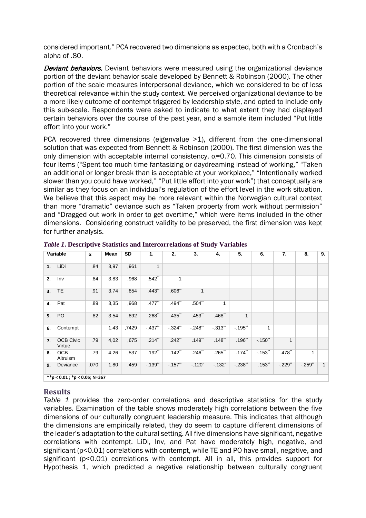considered important." PCA recovered two dimensions as expected, both with a Cronbach's alpha of .80.

**Deviant behaviors.** Deviant behaviors were measured using the organizational deviance portion of the deviant behavior scale developed by Bennett & Robinson (2000). The other portion of the scale measures interpersonal deviance, which we considered to be of less theoretical relevance within the study context. We perceived organizational deviance to be a more likely outcome of contempt triggered by leadership style, and opted to include only this sub-scale. Respondents were asked to indicate to what extent they had displayed certain behaviors over the course of the past year, and a sample item included "Put little effort into your work."

PCA recovered three dimensions (eigenvalue >1), different from the one-dimensional solution that was expected from Bennett & Robinson (2000). The first dimension was the only dimension with acceptable internal consistency,  $\alpha$ =0.70. This dimension consists of four items ("Spent too much time fantasizing or daydreaming instead of working," "Taken an additional or longer break than is acceptable at your workplace," "Intentionally worked slower than you could have worked," "Put little effort into your work") that conceptually are similar as they focus on an individual's regulation of the effort level in the work situation. We believe that this aspect may be more relevant within the Norwegian cultural context than more "dramatic" deviance such as "Taken property from work without permission" and "Dragged out work in order to get overtime," which were items included in the other dimensions. Considering construct validity to be preserved, the first dimension was kept for further analysis.

| Variable |                              | $\pmb{\alpha}$ | Mean | SD    | 1.        | 2.                   | 3.        | 4.                  | 5.        | 6.          | 7.           | 8.       | 9. |
|----------|------------------------------|----------------|------|-------|-----------|----------------------|-----------|---------------------|-----------|-------------|--------------|----------|----|
| 1.       | LiDi                         | .84            | 3,97 | ,961  | 1         |                      |           |                     |           |             |              |          |    |
| 2.       | Inv                          | .84            | 3,83 | ,968  | $.542$ ** |                      |           |                     |           |             |              |          |    |
| 3.       | <b>TE</b>                    | .91            | 3,74 | .854  | $.443$ ** | .606"                | 1         |                     |           |             |              |          |    |
| 4.       | Pat                          | .89            | 3,35 | ,968  | $.477$ ** | $.494$ <sup>**</sup> | $.504$ ** | 1                   |           |             |              |          |    |
| 5.       | PO                           | .82            | 3,54 | ,892  | $.268$ ** | $.435$ "             | $.453$ ** | .468"               | 1         |             |              |          |    |
| 6.       | Contempt                     |                | 1,43 | ,7429 | $-437$    | $-324$ <sup>**</sup> | $-.248"$  | $-.313"$            | $-0.195$  | 1           |              |          |    |
| 7.       | <b>OCB Civic</b><br>Virtue   | .79            | 4,02 | ,675  | $.214$ ** | $.242$ **            | $.149$ *  | $.148$ **           | $.196$ *  | $-.150$ **  | $\mathbf{1}$ |          |    |
| 8.       | OCB<br>Altruism              | .79            | 4,26 | ,537  | $.192$ *  | $.142$ *             | $.246$ ** | $.265$ *            | $.174$ ** | $-0.153$ ** | $.478$ **    | 1        |    |
| 9.       | Deviance                     | .070           | 1,80 | ,459  | $-139$    | $-.157$ **           | $-.120"$  | $-132$ <sup>*</sup> | $-.238"$  | $.153$ *    | $-.229"$     | $-.259"$ | 1  |
|          | **p < 0.01; *p < 0.05; N=367 |                |      |       |           |                      |           |                     |           |             |              |          |    |

*Table 1***. Descriptive Statistics and Intercorrelations of Study Variables**

## **Results**

*Table 1* provides the zero-order correlations and descriptive statistics for the study variables. Examination of the table shows moderately high correlations between the five dimensions of our culturally congruent leadership measure. This indicates that although the dimensions are empirically related, they do seem to capture different dimensions of the leader's adaptation to the cultural setting. All five dimensions have significant, negative correlations with contempt. LiDi, Inv, and Pat have moderately high, negative, and significant (p<0.01) correlations with contempt, while TE and PO have small, negative, and significant (p<0.01) correlations with contempt. All in all, this provides support for Hypothesis 1, which predicted a negative relationship between culturally congruent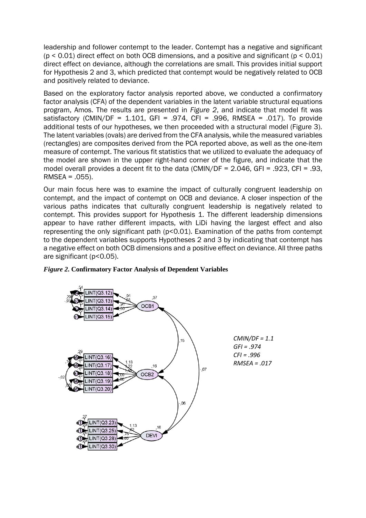leadership and follower contempt to the leader. Contempt has a negative and significant  $(p < 0.01)$  direct effect on both OCB dimensions, and a positive and significant  $(p < 0.01)$ direct effect on deviance, although the correlations are small. This provides initial support for Hypothesis 2 and 3, which predicted that contempt would be negatively related to OCB and positively related to deviance.

Based on the exploratory factor analysis reported above, we conducted a confirmatory factor analysis (CFA) of the dependent variables in the latent variable structural equations program, Amos. The results are presented in *Figure 2*, and indicate that model fit was satisfactory (CMIN/DF = 1.101, GFI = .974, CFI = .996, RMSEA = .017). To provide additional tests of our hypotheses, we then proceeded with a structural model (Figure 3). The latent variables (ovals) are derived from the CFA analysis, while the measured variables (rectangles) are composites derived from the PCA reported above, as well as the one-item measure of contempt. The various fit statistics that we utilized to evaluate the adequacy of the model are shown in the upper right-hand corner of the figure, and indicate that the model overall provides a decent fit to the data (CMIN/DF = 2.046, GFI = .923, CFI = .93, RMSEA = .055).

Our main focus here was to examine the impact of culturally congruent leadership on contempt, and the impact of contempt on OCB and deviance. A closer inspection of the various paths indicates that culturally congruent leadership is negatively related to contempt. This provides support for Hypothesis 1. The different leadership dimensions appear to have rather different impacts, with LiDi having the largest effect and also representing the only significant path (p<0.01). Examination of the paths from contempt to the dependent variables supports Hypotheses 2 and 3 by indicating that contempt has a negative effect on both OCB dimensions and a positive effect on deviance. All three paths are significant (p<0.05).



#### *Figure 2***. Confirmatory Factor Analysis of Dependent Variables**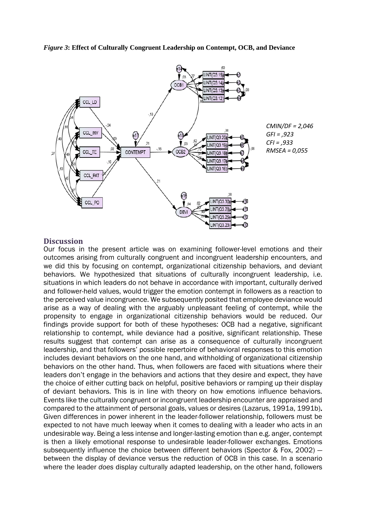*Figure 3***: Effect of Culturally Congruent Leadership on Contempt, OCB, and Deviance**



### **Discussion**

Our focus in the present article was on examining follower-level emotions and their outcomes arising from culturally congruent and incongruent leadership encounters, and we did this by focusing on contempt, organizational citizenship behaviors, and deviant behaviors. We hypothesized that situations of culturally incongruent leadership, i.e. situations in which leaders do not behave in accordance with important, culturally derived and follower-held values, would trigger the emotion contempt in followers as a reaction to the perceived value incongruence. We subsequently posited that employee deviance would arise as a way of dealing with the arguably unpleasant feeling of contempt, while the propensity to engage in organizational citizenship behaviors would be reduced. Our findings provide support for both of these hypotheses: OCB had a negative, significant relationship to contempt, while deviance had a positive, significant relationship. These results suggest that contempt can arise as a consequence of culturally incongruent leadership, and that followers' possible repertoire of behavioral responses to this emotion includes deviant behaviors on the one hand, and withholding of organizational citizenship behaviors on the other hand. Thus, when followers are faced with situations where their leaders don't engage in the behaviors and actions that they desire and expect, they have the choice of either cutting back on helpful, positive behaviors or ramping up their display of deviant behaviors. This is in line with theory on how emotions influence behaviors. Events like the culturally congruent or incongruent leadership encounter are appraised and compared to the attainment of personal goals, values or desires (Lazarus, 1991a, 1991b). Given differences in power inherent in the leader-follower relationship, followers must be expected to not have much leeway when it comes to dealing with a leader who acts in an undesirable way. Being a less intense and longer-lasting emotion than e.g. anger, contempt is then a likely emotional response to undesirable leader-follower exchanges. Emotions subsequently influence the choice between different behaviors (Spector & Fox, 2002) ― between the display of deviance versus the reduction of OCB in this case. In a scenario where the leader *does* display culturally adapted leadership, on the other hand, followers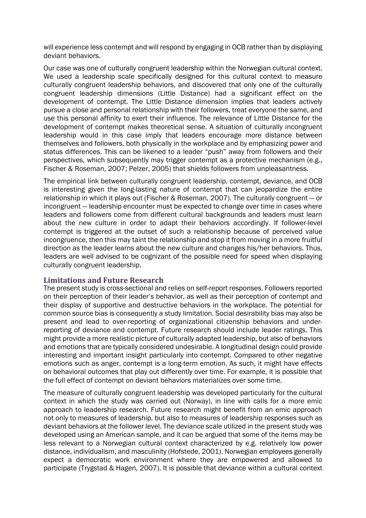will experience less contempt and will respond by engaging in OCB rather than by displaying deviant behaviors.

Our case was one of culturally congruent leadership within the Norwegian cultural context. We used a leadership scale specifically designed for this cultural context to measure culturally congruent leadership behaviors, and discovered that only one of the culturally congruent leadership dimensions (Little Distance) had a significant effect on the development of contempt. The Little Distance dimension implies that leaders actively pursue a close and personal relationship with their followers, treat everyone the same, and use this personal affinity to exert their influence. The relevance of Little Distance for the development of contempt makes theoretical sense. A situation of culturally incongruent leadership would in this case imply that leaders encourage more distance between themselves and followers, both physically in the workplace and by emphasizing power and status differences. This can be likened to a leader "push" away from followers and their perspectives, which subsequently may trigger contempt as a protective mechanism (e.g., Fischer & Roseman, 2007; Pelzer, 2005) that shields followers from unpleasantness.

The empirical link between culturally congruent leadership, contempt, deviance, and OCB is interesting given the long-lasting nature of contempt that can jeopardize the entire relationship in which it plays out (Fischer & Roseman, 2007). The culturally congruent ― or incongruent ― leadership encounter must be expected to change over time in cases where leaders and followers come from different cultural backgrounds and leaders must learn about the new culture in order to adapt their behaviors accordingly. If follower-level contempt is triggered at the outset of such a relationship because of perceived value incongruence, then this may taint the relationship and stop it from moving in a more fruitful direction as the leader learns about the new culture and changes his/her behaviors. Thus, leaders are well advised to be cognizant of the possible need for speed when displaying culturally congruent leadership.

## **Limitations and Future Research**

The present study is cross-sectional and relies on self-report responses. Followers reported on their perception of their leader's behavior, as well as their perception of contempt and their display of supportive and destructive behaviors in the workplace. The potential for common source bias is consequently a study limitation. Social desirability bias may also be present and lead to over-reporting of organizational citizenship behaviors and underreporting of deviance and contempt. Future research should include leader ratings. This might provide a more realistic picture of culturally adapted leadership, but also of behaviors and emotions that are typically considered undesirable. A longitudinal design could provide interesting and important insight particularly into contempt. Compared to other negative emotions such as anger, contempt is a long-term emotion. As such, it might have effects on behavioral outcomes that play out differently over time. For example, it is possible that the full effect of contempt on deviant behaviors materializes over some time.

The measure of culturally congruent leadership was developed particularly for the cultural context in which the study was carried out (Norway), in line with calls for a more emic approach to leadership research. Future research might benefit from an emic approach not only to measures of leadership, but also to measures of leadership responses such as deviant behaviors at the follower level. The deviance scale utilized in the present study was developed using an American sample, and it can be argued that some of the items may be less relevant to a Norwegian cultural context characterized by e.g. relatively low power distance, individualism, and masculinity (Hofstede, 2001). Norwegian employees generally expect a democratic work environment where they are empowered and allowed to participate (Trygstad & Hagen, 2007). It is possible that deviance within a cultural context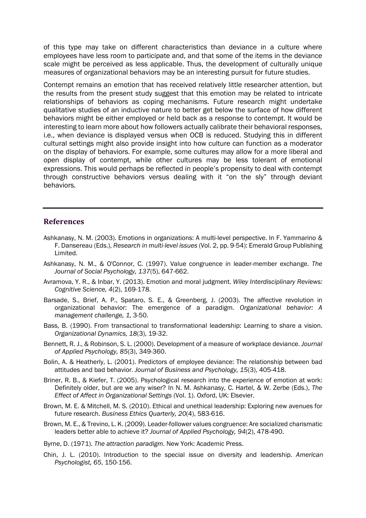of this type may take on different characteristics than deviance in a culture where employees have less room to participate and, and that some of the items in the deviance scale might be perceived as less applicable. Thus, the development of culturally unique measures of organizational behaviors may be an interesting pursuit for future studies.

Contempt remains an emotion that has received relatively little researcher attention, but the results from the present study suggest that this emotion may be related to intricate relationships of behaviors as coping mechanisms. Future research might undertake qualitative studies of an inductive nature to better get below the surface of how different behaviors might be either employed or held back as a response to contempt. It would be interesting to learn more about how followers actually calibrate their behavioral responses, i.e., when deviance is displayed versus when OCB is reduced. Studying this in different cultural settings might also provide insight into how culture can function as a moderator on the display of behaviors. For example, some cultures may allow for a more liberal and open display of contempt, while other cultures may be less tolerant of emotional expressions. This would perhaps be reflected in people's propensity to deal with contempt through constructive behaviors versus dealing with it "on the sly" through deviant behaviors.

## **References**

- Ashkanasy, N. M. (2003). Emotions in organizations: A multi-level perspective. In F. Yammarino & F. Dansereau (Eds.), *Research in multi-level issues* (Vol. 2, pp. 9-54): Emerald Group Publishing Limited.
- Ashkanasy, N. M., & O'Connor, C. (1997). Value congruence in leader-member exchange. *The Journal of Social Psychology, 137*(5), 647-662.
- Avramova, Y. R., & Inbar, Y. (2013). Emotion and moral judgment. *Wiley Interdisciplinary Reviews: Cognitive Science, 4*(2), 169-178.
- Barsade, S., Brief, A. P., Spataro, S. E., & Greenberg, J. (2003). The affective revolution in organizational behavior: The emergence of a paradigm. *Organizational behavior: A management challenge, 1*, 3-50.
- Bass, B. (1990). From transactional to transformational leadership: Learning to share a vision. *Organizational Dynamics, 18*(3), 19-32.
- Bennett, R. J., & Robinson, S. L. (2000). Development of a measure of workplace deviance. *Journal of Applied Psychology, 85*(3), 349-360.
- Bolin, A. & Heatherly, L. (2001). Predictors of employee deviance: The relationship between bad attitudes and bad behavior. *Journal of Business and Psychology, 15*(3), 405-418.
- Briner, R. B., & Kiefer, T. (2005). Psychological research into the experience of emotion at work: Definitely older, but are we any wiser? In N. M. Ashkanasy, C. Hartel, & W. Zerbe (Eds.), *The Effect of Affect in Organizational Settings* (Vol. 1). Oxford, UK: Elsevier.
- Brown, M. E. & Mitchell, M. S. (2010). Ethical and unethical leadership: Exploring new avenues for future research. *Business Ethics Quarterly, 20*(4), 583-616.
- Brown, M. E., & Trevino, L. K. (2009). Leader-follower values congruence: Are socialized charismatic leaders better able to achieve it? *Journal of Applied Psychology, 94*(2), 478-490.

Byrne, D. (1971). *The attraction paradigm*. New York: Academic Press.

Chin, J. L. (2010). Introduction to the special issue on diversity and leadership. *American Psychologist, 65*, 150-156.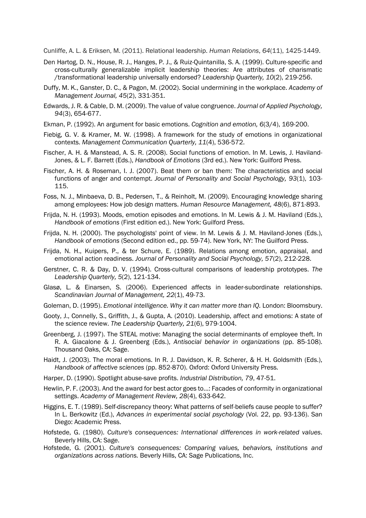Cunliffe, A. L. & Eriksen, M. (2011). Relational leadership. *Human Relations*, *64*(11), 1425-1449.

- Den Hartog, D. N., House, R. J., Hanges, P. J., & Ruiz-Quintanilla, S. A. (1999). Culture-specific and cross-culturally generalizable implicit leadership theories: Are attributes of charismatic /transformational leadership universally endorsed? *Leadership Quarterly, 10*(2), 219-256.
- Duffy, M. K., Ganster, D. C., & Pagon, M. (2002). Social undermining in the workplace. *Academy of Management Journal, 45*(2), 331-351.
- Edwards, J. R. & Cable, D. M. (2009). The value of value congruence. *Journal of Applied Psychology, 94*(3), 654-677.
- Ekman, P. (1992). An argument for basic emotions. *Cognition and emotion, 6*(3/4), 169-200.
- Fiebig, G. V. & Kramer, M. W. (1998). A framework for the study of emotions in organizational contexts. *Management Communication Quarterly, 11*(4), 536-572.
- Fischer, A. H. & Manstead, A. S. R. (2008). Social functions of emotion. In M. Lewis, J. Haviland-Jones, & L. F. Barrett (Eds.), *Handbook of Emotions* (3rd ed.). New York: Guilford Press.
- Fischer, A. H. & Roseman, I. J. (2007). Beat them or ban them: The characteristics and social functions of anger and contempt. *Journal of Personality and Social Psychology, 93*(1), 103- 115.
- Foss, N. J., Minbaeva, D. B., Pedersen, T., & Reinholt, M. (2009). Encouraging knowledge sharing among employees: How job design matters. *Human Resource Management, 48*(6), 871-893.
- Frijda, N. H. (1993). Moods, emotion episodes and emotions. In M. Lewis & J. M. Haviland (Eds.), *Handbook of emotions* (First edition ed.). New York: Guilford Press.
- Frijda, N. H. (2000). The psychologists' point of view. In M. Lewis & J. M. Haviland-Jones (Eds.), *Handbook of emotions* (Second edition ed., pp. 59-74). New York, NY: The Guilford Press.
- Frijda, N. H., Kuipers, P., & ter Schure, E. (1989). Relations among emotion, appraisal, and emotional action readiness. *Journal of Personality and Social Psychology, 57*(2), 212-228.
- Gerstner, C. R. & Day, D. V. (1994). Cross-cultural comparisons of leadership prototypes. *The Leadership Quarterly, 5*(2), 121-134.
- Glasø, L. & Einarsen, S. (2006). Experienced affects in leader-subordinate relationships. *Scandinavian Journal of Management, 22*(1), 49-73.
- Goleman, D. (1995). *Emotional intelligence. Why it can matter more than IQ.* London: Bloomsbury.
- Gooty, J., Connelly, S., Griffith, J., & Gupta, A. (2010). Leadership, affect and emotions: A state of the science review. *The Leadership Quarterly, 21*(6), 979-1004.
- Greenberg, J. (1997). The STEAL motive: Managing the social determinants of employee theft. In R. A. Giacalone & J. Greenberg (Eds.), *Antisocial behavior in organizations* (pp. 85-108). Thousand Oaks, CA: Sage.
- Haidt, J. (2003). The moral emotions. In R. J. Davidson, K. R. Scherer, & H. H. Goldsmith (Eds.), *Handbook of affective sciences* (pp. 852-870). Oxford: Oxford University Press.
- Harper, D. (1990). Spotlight abuse-save profits. *Industrial Distribution, 79*, 47-51.
- Hewlin, P. F. (2003). And the award for best actor goes to...: Facades of conformity in organizational settings. *Academy of Management Review, 28*(4), 633-642.
- Higgins, E. T. (1989). Self-discrepancy theory: What patterns of self-beliefs cause people to suffer? In L. Berkowitz (Ed.), *Advances in experimental social psychology* (Vol. 22, pp. 93-136). San Diego: Academic Press.
- Hofstede, G. (1980). *Culture's consequences: International differences in work-related values*. Beverly Hills, CA: Sage.
- Hofstede, G. (2001). *Culture's consequences: Comparing values, behaviors, institutions and organizations across nations.* Beverly Hills, CA: Sage Publications, Inc.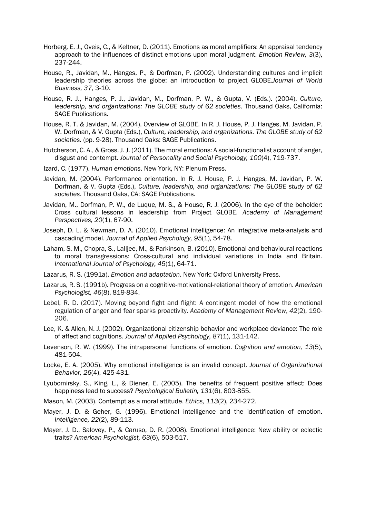- Horberg, E. J., Oveis, C., & Keltner, D. (2011). Emotions as moral amplifiers: An appraisal tendency approach to the influences of distinct emotions upon moral judgment. *Emotion Review, 3*(3), 237-244.
- House, R., Javidan, M., Hanges, P., & Dorfman, P. (2002). Understanding cultures and implicit leadership theories across the globe: an introduction to project GLOBE.*Journal of World Business, 37*, 3-10.
- House, R. J., Hanges, P. J., Javidan, M., Dorfman, P. W., & Gupta, V. (Eds.). (2004). *Culture, leadership, and organizations: The GLOBE study of 62 societies*. Thousand Oaks, California: SAGE Publications.
- House, R. T. & Javidan, M. (2004). Overview of GLOBE. In R. J. House, P. J. Hanges, M. Javidan, P. W. Dorfman, & V. Gupta (Eds.), *Culture, leadership, and organizations. The GLOBE study of 62 societies.* (pp. 9-28). Thousand Oaks: SAGE Publications.
- Hutcherson, C. A., & Gross, J. J. (2011). The moral emotions: A social-functionalist account of anger, disgust and contempt. *Journal of Personality and Social Psychology, 100*(4), 719-737.
- Izard, C. (1977). *Human emotions*. New York, NY: Plenum Press.
- Javidan, M. (2004). Performance orientation. In R. J. House, P. J. Hanges, M. Javidan, P. W. Dorfman, & V. Gupta (Eds.), *Culture, leadership, and organizations: The GLOBE study of 62 societies*. Thousand Oaks, CA: SAGE Publications.
- Javidan, M., Dorfman, P. W., de Luque, M. S., & House, R. J. (2006). In the eye of the beholder: Cross cultural lessons in leadership from Project GLOBE. *Academy of Management Perspectives, 20*(1), 67-90.
- Joseph, D. L. & Newman, D. A. (2010). Emotional intelligence: An integrative meta-analysis and cascading model. *Journal of Applied Psychology, 95*(1), 54-78.
- Laham, S. M., Chopra, S., Lalljee, M., & Parkinson, B. (2010). Emotional and behavioural reactions to moral transgressions: Cross-cultural and individual variations in India and Britain. *International Journal of Psychology, 45*(1), 64-71.
- Lazarus, R. S. (1991a). *Emotion and adaptation*. New York: Oxford University Press.
- Lazarus, R. S. (1991b). Progress on a cognitive-motivational-relational theory of emotion. *American Psychologist, 46*(8), 819-834.
- Lebel, R. D. (2017). Moving beyond fight and flight: A contingent model of how the emotional regulation of anger and fear sparks proactivity. *Academy of Management Review*, *42*(2), 190- 206.
- Lee, K. & Allen, N. J. (2002). Organizational citizenship behavior and workplace deviance: The role of affect and cognitions. *Journal of Applied Psychology, 87*(1), 131-142.
- Levenson, R. W. (1999). The intrapersonal functions of emotion. *Cognition and emotion, 13*(5), 481-504.
- Locke, E. A. (2005). Why emotional intelligence is an invalid concept. *Journal of Organizational Behavior, 26*(4), 425-431.
- Lyubomirsky, S., King, L., & Diener, E. (2005). The benefits of frequent positive affect: Does happiness lead to success? *Psychological Bulletin, 131*(6), 803-855.
- Mason, M. (2003). Contempt as a moral attitude. *Ethics, 113*(2), 234-272.
- Mayer, J. D. & Geher, G. (1996). Emotional intelligence and the identification of emotion. *Intelligence, 22*(2), 89-113.
- Mayer, J. D., Salovey, P., & Caruso, D. R. (2008). Emotional intelligence: New ability or eclectic traits? *American Psychologist, 63*(6), 503-517.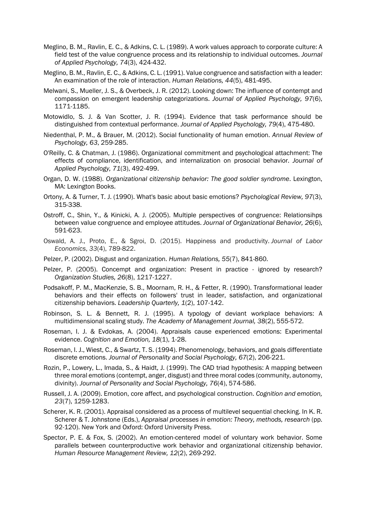- Meglino, B. M., Ravlin, E. C., & Adkins, C. L. (1989). A work values approach to corporate culture: A field test of the value congruence process and its relationship to individual outcomes. *Journal of Applied Psychology, 74*(3), 424-432.
- Meglino, B. M., Ravlin, E. C., & Adkins, C. L. (1991). Value congruence and satisfaction with a leader: An examination of the role of interaction. *Human Relations, 44*(5), 481-495.
- Melwani, S., Mueller, J. S., & Overbeck, J. R. (2012). Looking down: The influence of contempt and compassion on emergent leadership categorizations. *Journal of Applied Psychology, 97*(6), 1171-1185.
- Motowidlo, S. J. & Van Scotter, J. R. (1994). Evidence that task performance should be distinguished from contextual performance. *Journal of Applied Psychology, 79*(4), 475-480.
- Niedenthal, P. M., & Brauer, M. (2012). Social functionality of human emotion. *Annual Review of Psychology, 63*, 259-285.
- O'Reilly, C. & Chatman, J. (1986). Organizational commitment and psychological attachment: The effects of compliance, identification, and internalization on prosocial behavior. *Journal of Applied Psychology, 71*(3), 492-499.
- Organ, D. W. (1988). *Organizational citizenship behavior: The good soldier syndrome*. Lexington, MA: Lexington Books.
- Ortony, A. & Turner, T. J. (1990). What's basic about basic emotions? *Psychological Review, 97*(3), 315-338.
- Ostroff, C., Shin, Y., & Kinicki, A. J. (2005). Multiple perspectives of congruence: Relationsihps between value congruence and employee attitudes. *Journal of Organizational Behavior, 26*(6), 591-623.
- Oswald, A. J., Proto, E., & Sgroi, D. (2015). Happiness and productivity. *Journal of Labor Economics*, *33*(4), 789-822.
- Pelzer, P. (2002). Disgust and organization. *Human Relations, 55*(7), 841-860.
- Pelzer, P. (2005). Concempt and organization: Present in practice ignored by research? *Organization Studies, 26*(8), 1217-1227.
- Podsakoff, P. M., MacKenzie, S. B., Moornam, R. H., & Fetter, R. (1990). Transformational leader behaviors and their effects on followers' trust in leader, satisfaction, and organizational citizenship behaviors. *Leadership Quarterly, 1*(2), 107-142.
- Robinson, S. L. & Bennett, R. J. (1995). A typology of deviant workplace behaviors: A multidimensional scaling study. *The Academy of Management Journal, 38*(2), 555-572.
- Roseman, I. J. & Evdokas, A. (2004). Appraisals cause experienced emotions: Experimental evidence. *Cognition and Emotion, 18*(1), 1-28.
- Roseman, I. J., Wiest, C., & Swartz, T. S. (1994). Phenomenology, behaviors, and goals differentiate discrete emotions. *Journal of Personality and Social Psychology, 67*(2), 206-221.
- Rozin, P., Lowery, L., Imada, S., & Haidt, J. (1999). The CAD triad hypothesis: A mapping between three moral emotions (contempt, anger, disgust) and three moral codes (community, autonomy, divinity). *Journal of Personality and Social Psychology, 76*(4), 574-586.
- Russell, J. A. (2009). Emotion, core affect, and psychological construction. *Cognition and emotion, 23*(7), 1259-1283.
- Scherer, K. R. (2001). Appraisal considered as a process of multilevel sequential checking. In K. R. Scherer & T. Johnstone (Eds.), *Appraisal processes in emotion: Theory, methods, research* (pp. 92-120). New York and Oxford: Oxford University Press.
- Spector, P. E. & Fox, S. (2002). An emotion-centered model of voluntary work behavior. Some parallels between counterproductive work behavior and organizational citizenship behavior. *Human Resource Management Review, 12*(2), 269-292.